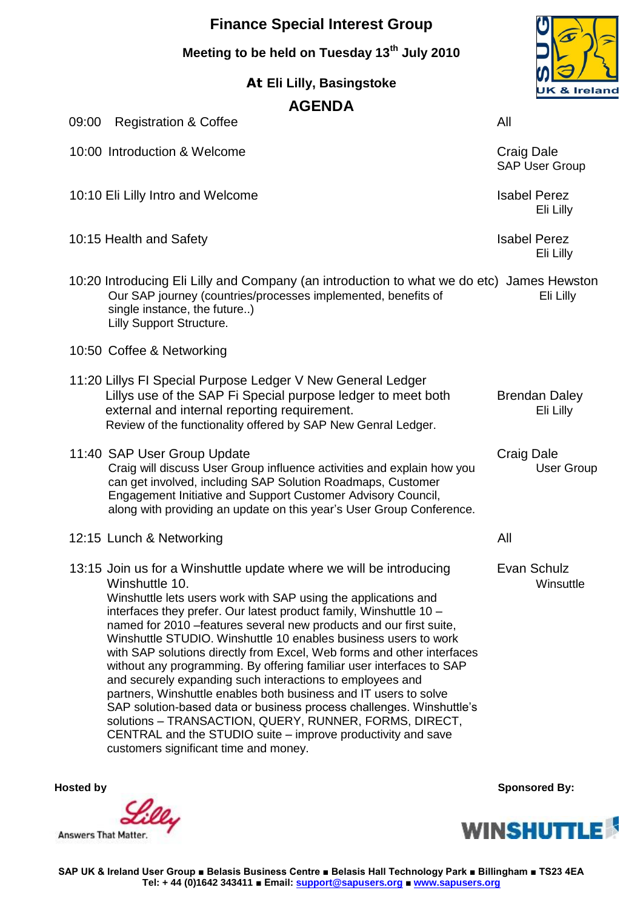# **Finance Special Interest Group**

**Meeting to be held on Tuesday 13th July 2010**

**At Eli Lilly, Basingstoke**

## **AGENDA**

09:00 Registration & Coffee All 10:00 Introduction & Welcome Craig Dale SAP User Group 10:10 Eli Lilly Intro and Welcome Isabel Perez Eli Lilly 10:15 Health and Safety **Islams** Isabel Perez Eli Lilly 10:20 Introducing Eli Lilly and Company (an introduction to what we do etc) James Hewston Our SAP journey (countries/processes implemented, benefits of Eli Lilly single instance, the future..) Lilly Support Structure. 10:50 Coffee & Networking 11:20 Lillys FI Special Purpose Ledger V New General Ledger Lillys use of the SAP Fi Special purpose ledger to meet both Brendan Daley external and internal reporting requirement. The same state of the set of the Eli Lilly Review of the functionality offered by SAP New Genral Ledger. 11:40 SAP User Group Update<br>Craig will discuss User Group influence activities and explain how you Craig will discuss User Group Craig will discuss User Group influence activities and explain how you can get involved, including SAP Solution Roadmaps, Customer Engagement Initiative and Support Customer Advisory Council, along with providing an update on this year's User Group Conference. 12:15 Lunch & Networking All 13:15 Join us for a Winshuttle update where we will be introducing Evan Schulz Winshuttle 10. Winsuttle Winshuttle lets users work with SAP using the applications and interfaces they prefer. Our latest product family, Winshuttle 10 – named for 2010 –features several new products and our first suite, Winshuttle STUDIO. Winshuttle 10 enables business users to work with SAP solutions directly from Excel, Web forms and other interfaces without any programming. By offering familiar user interfaces to SAP and securely expanding such interactions to employees and partners, Winshuttle enables both business and IT users to solve SAP solution-based data or business process challenges. Winshuttle's solutions – [TRANSACTION,](http://www.winshuttle.com/TRANSACTION.html) [QUERY,](http://www.winshuttle.com/QUERY.html) [RUNNER,](http://www.winshuttle.com/RUNNER.html) [FORMS,](http://www.winshuttle.com/FORMS.html) [DIRECT,](http://www.winshuttle.com/DIRECT.html)

customers significant time and money.

**Answers That Matter** 

 **Hosted by Sponsored By: Sponsored By: Sponsored By: Sponsored By: Sponsored By: Sponsored By: Sponsored By: Sponsored By: Sponsored By: Sponsored By: Sponsored By: Sponsored By: Sponsored By:**





[CENTRAL](http://www.winshuttle.com/CENTRAL.html) and the [STUDIO](http://www.winshuttle.com/STUDIO.html) suite – improve productivity and save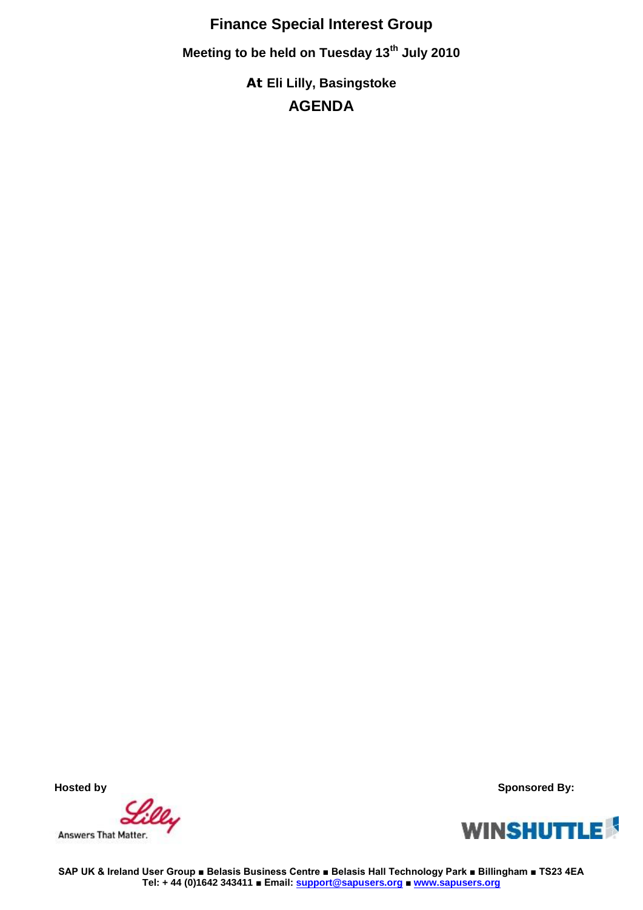**Finance Special Interest Group Meeting to be held on Tuesday 13th July 2010 At Eli Lilly, Basingstoke AGENDA**

Lilly Answers That Matter.

 **Hosted by Sponsored By:** 



**SAP UK & Ireland User Group ■ Belasis Business Centre ■ Belasis Hall Technology Park ■ Billingham ■ TS23 4EA Tel: + 44 (0)1642 343411 ■ Email: support@sapusers.org ■ www.sapusers.org**